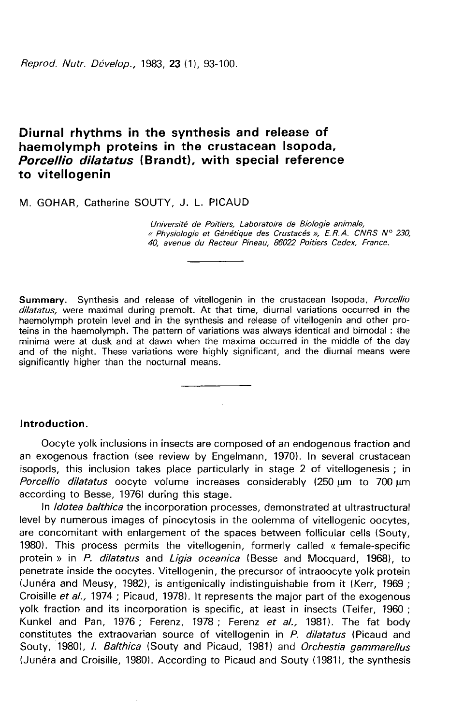Reprod. Nutr. Dévelop., 1983, 23 (1), 93-100.

# Diurnal rhythms in the synthesis and release of haemolymph proteins in the crustacean Isopoda, Porcellio dilatatus (Brandt), with special reference to vitellogenin

M. GOHAR, Catherine SOUTY, J. L. PICAUD

Université de Poitiers, Laboratoire de Biologie animale,<br>« Physiologie et Génétique des Crustacés », E.R.A. CNRS N° 230. 40, avenue du Recteur Pineau, 86022 Poitiers Cedex, France.

Summary. Synthesis and release of vitellogenin in the crustacean Isopoda, Porcellio dilatatus, were maximal during premolt. At that time, diurnal variations occurred in the haemolymph protein level and in the synthesis and release of vitellogenin and other proteins in the haemolymph. The pattern of variations was always identical and bimodal : the minima were at dusk and at dawn when the maxima occurred in the middle of the day and of the night. These variations were highly significant, and the diurnal means were significantly higher than the nocturnal means.

### Introduction.

Oocyte yolk inclusions in insects are composed of an endogenous fraction and an exogenous fraction (see review by Engelmann, 1970). In several crustacean isopods, this inclusion takes place particularly in stage 2 of vitellogenesis ; in *Porcellio dilatatus* oocyte volume increases considerably  $(250 \text{ µm})$  to 700  $\text{µm}$ according to Besse, 1976) during this stage.

In *Idotea balthica* the incorporation processes, demonstrated at ultrastructural level by numerous images of pinocytosis in the oolemma of vitellogenic oocytes, are concomitant with enlargement of the spaces between follicular cells (Souty, 1980). This process permits the vitellogenin, formerly called « female-specific protein » in P. dilatatus and Ligia oceanica (Besse and Mocquard, 1968), to penetrate inside the oocytes. Vitellogenin, the precursor of intraoocyte yolk protein (Junéra and Meusy, 1982), is antigenically indistinguishable from it (Kerr, 1969 ; Croisille et al., 1974 ; Picaud, 1978). It represents the major part of the exogenous yolk fraction and its incorporation is specific, at least in insects (Telfer, 1960 ; Kunkel and Pan, 1976; Ferenz, 1978; Ferenz et al., 1981). The fat body constitutes the extraovarian source of vitellogenin in P. dilatatus (Picaud and Souty, 1980), *I. Balthica* (Souty and Picaud, 1981) and *Orchestia gammarellus* (Junéra and Croisille, 1980). According to Picaud and Souty (19811, the synthesis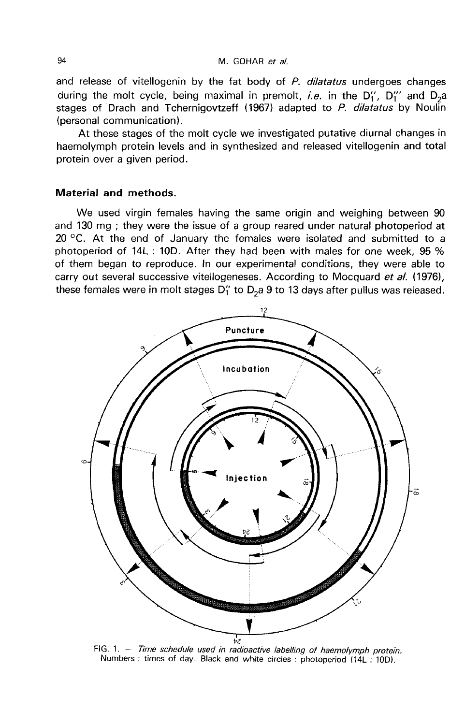and release of vitellogenin by the fat body of  $P$ . dilatatus undergoes changes during the molt cycle, being maximal in premolt, *i.e.* in the  $D_1''$ ,  $D_1'''$  and  $D_2a$ stages of Drach and Tchernigovtzeff (1967) adapted to P. dilatatus by Noulin (personal communication).

At these stages of the molt cycle we investigated putative diurnal changes in haemolymph protein levels and in synthesized and released vitellogenin and total protein over a given period.

#### Material and methods.

We used virgin females having the same origin and weighing between 90 and 130 mg ; they were the issue of a group reared under natural photoperiod at 20  $\degree$ C. At the end of January the females were isolated and submitted to a photoperiod of 14L : 10D. After they had been with males for one week, 95 % of them began to reproduce. In our experimental conditions, they were able to carry out several successive vitellogeneses. According to Mocquard et al. (1976), these females were in molt stages  $D_1''$  to  $D_2a$  9 to 13 days after pullus was released.



FIG. 1.  $-$  Time schedule used in radioactive labelling of haemolymph protein. Numbers: times of day. Black and white circles: photoperiod (14L: 10D).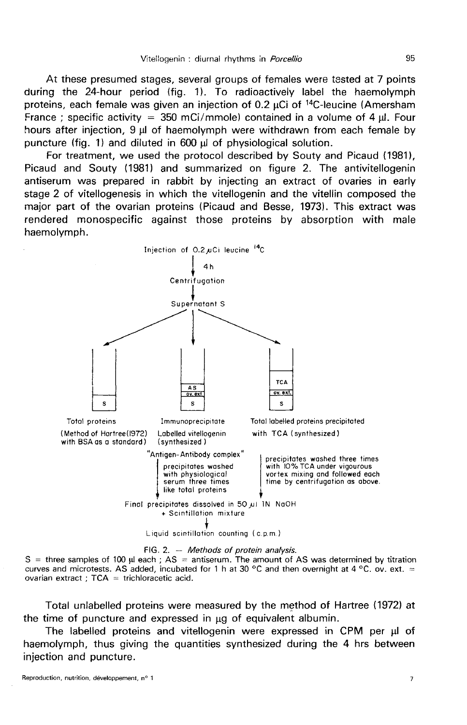At these presumed stages, several groups of females were tested at 7 points during the 24-hour period (fig. 1). To radioactively label the haemolymph proteins, each female was given an injection of 0.2  $\mu$ Ci of <sup>14</sup>C-leucine (Amersham<br>France ; specific activity = 350 mCi/mmole) contained in a volume of 4  $\mu$ . Four hours after injection,  $9 \mu$  of haemolymph were withdrawn from each female by puncture (fig. 1) and diluted in 600 ul of physiological solution.

For treatment, we used the protocol described by Souty and Picaud (1981), Picaud and Souty (1981) and summarized on figure 2. The antivitellogenin antiserum was prepared in rabbit by injecting an extract of ovaries in early stage 2 of vitellogenesis in which the vitellogenin and the vitellin composed the major part of the ovarian proteins (Picaud and Besse, 1973). This extract was rendered monospecific against those proteins by absorption with male haemolymph.



FIG. 2. - Methods of protein analysis.

 $S =$  three samples of 100  $\mu$  each; AS = antiserum. The amount of AS was determined by titration curves and microtests. AS added, incubated for 1 h at 30 °C and then overnight at 4 °C, ov. ext. = ovarian extract ; TCA = trichloracetic acid.

Total unlabelled proteins were measured by the method of Hartree (1972) at the time of puncture and expressed in  $\mu$ g of equivalent albumin.

The labelled proteins and vitellogenin were expressed in CPM per µl of haemolymph, thus giving the quantities synthesized during the 4 hrs between injection and puncture.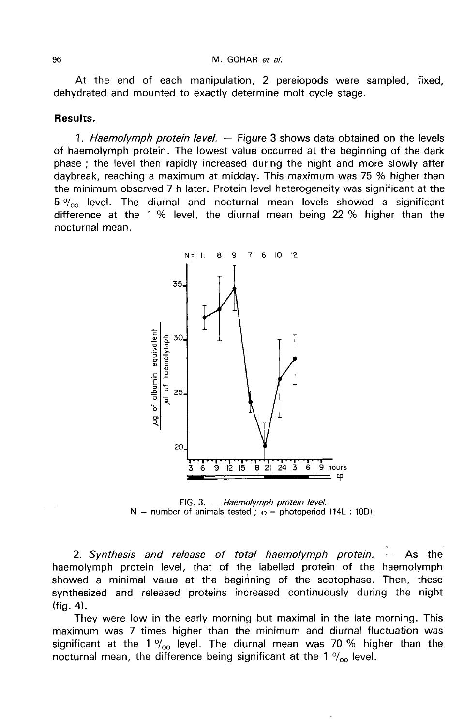At the end of each manipulation, 2 pereiopods were sampled, fixed, dehydrated and mounted to exactly determine molt cycle stage.

#### Results.

1. Haemolymph protein level. - Figure 3 shows data obtained on the levels of haemolymph protein. The lowest value occurred at the beginning of the dark phase ; the level then rapidly increased during the night and more slowly after daybreak, reaching a maximum at midday. This maximum was 75 % higher than daybreak, reaching a maximum at midday. This maximum was 75 % higher than<br>the minimum observed 7 h later. Protein level heterogeneity was significant at the<br>5  $\%$  level. The diurnal and nocturnal mean levels showed a sig difference at the 1 % level, the diurnal mean being 22 % higher than the nocturnal mean.



FIG. 3. - Haemolymph protein level. N = number of animals tested;  $\varphi$  = photoperiod (14L: 10D).

2. Synthesis and release of total haemolymph protein.  $-$  As the haemolymph protein level, that of the labelled protein of the haemolymph showed a minimal value at the beginning of the scotophase. Then, these synthesized and released proteins increased continuously during the night (fig. 4).

They were low in the early morning but maximal in the late morning. This maximum was 7 times higher than the minimum and diurnal fluctuation was significant at the 1  $\%$ <sub>00</sub> level. The diurnal mean was 70 % higher than the nocturnal mean, the difference being significant at the 1  $\%$  level.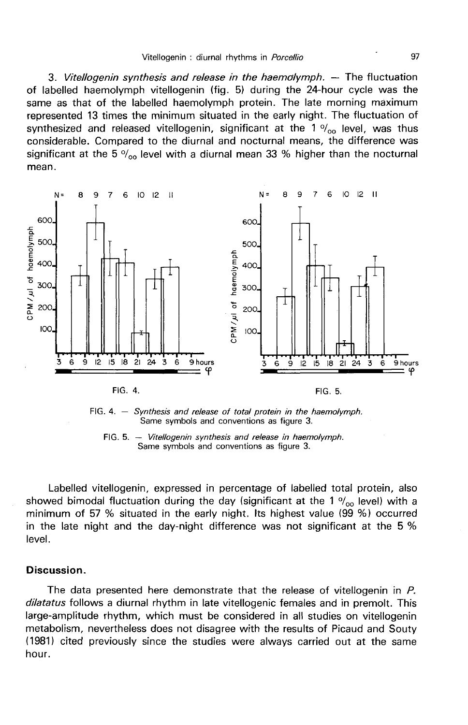3. Vitellogenin synthesis and release in the haemolymph. — The fluctuation of labelled haemolymph vitellogenin (fig. 5) during the 24-hour cycle was the same as that of the labelled haemolymph protein. The late morning maximum represented 13 times the minimum situated in the early night. The fluctuation of synthesized and released vitellogenin, significant at the 1  $\%$ <sub>oo</sub> level, was thus considerable. Compared to the diurnal and nocturnal means, the difference was significant at the 5  $\%$ <sub>00</sub> level with a diurnal mean 33 % higher than the nocturnal mean.



FIG. 4.  $-$  Synthesis and release of total protein in the haemolymph. Same symbols and conventions as figure 3.

FIG. 5. - Vitellogenin synthesis and release in haemolymph. Same symbols and conventions as figure 3.

Labelled vitellogenin, expressed in percentage of labelled total protein, also showed bimodal fluctuation during the day (significant at the 1  $\%$ <sub>00</sub> level) with a minimum of 57 % situated in the early night. Its highest value (99 %) occurred in the late night and the day-night difference was not significant at the 5 % level.

#### Discussion.

The data presented here demonstrate that the release of vitellogenin in P. dilatatus follows a diurnal rhythm in late vitellogenic females and in premolt. This large-amplitude rhythm, which must be considered in all studies on vitellogenin metabolism, nevertheless does not disagree with the results of Picaud and Souty (1981) cited previously since the studies were always carried out at the same hour.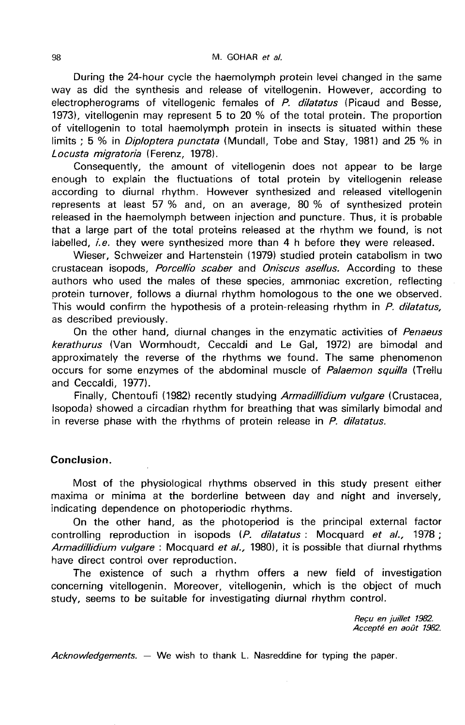During the 24-hour cycle the haemolymph protein level changed in the same way as did the synthesis and release of vitellogenin. However, according to electropherograms of vitellogenic females of P. dilatatus (Picaud and Besse, 1973), vitellogenin may represent 5 to 20 % of the total protein. The proportion of vitellogenin to total haemolymph protein in insects is situated within these limits : 5 % in *Diploptera punctata* (Mundall, Tobe and Stay, 1981) and 25 % in Locusta migratoria (Ferenz, 1978).

Consequently, the amount of vitellogenin does not appear to be large enough to explain the fluctuations of total protein by vitellogenin release according to diurnal rhythm. However synthesized and released vitellogenin represents at least 57 % and, on an average, 80 % of synthesized protein released in the haemolymph between injection and puncture. Thus, it is probable that a large part of the total proteins released at the rhythm we found, is not labelled, *i.e.* they were synthesized more than 4 h before they were released.

Wieser, Schweizer and Hartenstein (1979) studied protein catabolism in two crustacean isopods, Porcellio scaber and Oniscus asellus. According to these authors who used the males of these species, ammoniac excretion, reflecting protein turnover, follows a diurnal rhythm homologous to the one we observed. This would confirm the hypothesis of a protein-releasing rhythm in P. dilatatus, as described previously.

On the other hand, diurnal changes in the enzymatic activities of Penaeus kerathurus (Van Wormhoudt, Ceccaldi and Le Gal, 1972) are bimodal and approximately the reverse of the rhythms we found. The same phenomenon occurs for some enzymes of the abdominal muscle of *Palaemon squilla* (Trellu and Ceccaldi, 1977).

Finally, Chentoufi (1982) recently studying Armadillidium vulgare (Crustacea, Isopoda) showed a circadian rhythm for breathing that was similarly bimodal and in reverse phase with the rhythms of protein release in  $P$ . dilatatus.

## Conclusion.

Most of the physiological rhythms observed in this study present either maxima or minima at the borderline between day and night and inversely, indicating dependence on photoperiodic rhythms.

On the other hand, as the photoperiod is the principal external factor controlling reproduction in isopods  $(P.$  dilatatus : Mocquard et al., 1978; Armadillidium vulgare: Mocquard et al., 1980), it is possible that diurnal rhythms have direct control over reproduction.

The existence of such a rhythm offers a new field of investigation concerning vitellogenin. Moreover, vitellogenin, which is the object of much study, seems to be suitable for investigating diurnal rhythm control.

> Recu en juillet 1982. Accepté en août 1982.

Acknowledgements.  $-$  We wish to thank L. Nasreddine for typing the paper.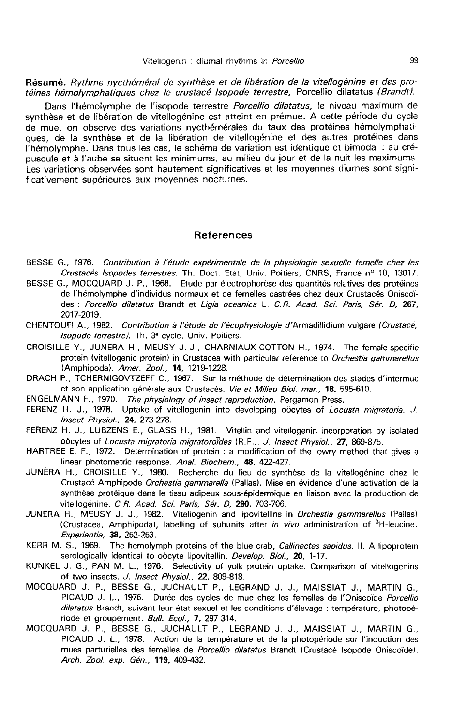Résumé. Rythme nycthéméral de synthèse et de libération de la vitellogénine et des protéines hémolymphatiques chez le crustacé lsopode terrestre, Porcellio dilatatus (Brandt).

Dans l'hémolymphe de l'isopode terrestre Porcellio dilatatus, le niveau maximum de synthèse et de libération de vitellogénine est atteint en prémue. A cette période du cycle de mue, on observe des variations nycthémérales du taux des protéines hémolymphatiques, de la synthèse et de la libération de vitellogénine et des autres protéines dans l'hémolymphe. Dans tous les cas, le schéma de variation est identique et bimoda! : au crépuscule et à l'aube se situent les minimums, au milieu du jour et de la nuit les maximums. Les variations observées sont hautement significatives et les moyennes diurnes sont significativement supérieures aux moyennes nocturnes.

#### References

- BESSE G., 1976. Contribution à l'étude expérimentale de la physiologie sexuelle femelle chez les Crustacés Isopodes terrestres. Th. Doct. Etat, Univ. Poitiers, CNRS, France nº 10, 13017.
- BESSE G., MOCQUARD J. P., 1968. Etude par électrophorèse des quantités relatives des protéines de l'hémolymphe d'individus normaux et de femelles castrées chez deux Crustacés Oniscoïdes : Porcellio dilatatus Brandt et Ligia oceanica L. C.R. Acad. Sci. Paris, Sér. D, 267, 2017-2019.
- CHENTOUFI A., 1982. Contribution à l'étude de l'écophysiologie d'Armadillidium vulgare (Crustacé, lsopode terrestrel. Th. 3e cycle, Univ. Poitiers.
- CROISILLE Y., JUNERA H., MEUSY J.-J., CHARNIAUX-COTTON H., 1974. The female-specific protein (vitellogenic protein) in Crustacea with particular reference to Orchestia gammarellus (Amphipoda). Amer. Zool., 14, 1219-1228.

DRACH P., TCHERNIGOVTZEFF C., 1967. Sur la methode de determination des stades d'intermue et son application générale aux Crustacés. Vie et Milieu Biol. mar., 18, 595-610.

- ENGELMANN F., 1970. The physiology of insect reproduction. Pergamon Press.
- FERENZ- H. J., 1978. Uptake of vitellogenin into developing oöcytes of Locusta migratoria. J. Insect Physiol., 24, 273-278.
- FERENZ H. J., LUBZENS E., GLASS H., 1981. Vitellin and vitellogenin incorporation by isolated obcytes of *Locusta migratoria migratoro*<sup>7</sup>des (R.F.). *J. Insect Physiol.*, **27, 869-875**.
- HARTREE E. F., 1972. Determination of protein : a modification of the lowry method that gives a linear photometric response. Anal. Biochem., 48, 422-427.
- JUNERA H., CROISILLE Y., 1980. Recherche du lieu de synthese de la vitellogenine chez le Crustacé Amphipode Orchestia gammarella (Pallas). Mise en évidence d'une activation de la synthese proteique dans le tissu adipeux sous-épidermique en liaison avec la production de vitellogénine. C.R. Acad. Sci. Paris, Sér. D, 290, 703-706.
- JUNERA H., MEUSY J. J., 1982. Vitellogenin and lipovitellins in Orchestia gammarellus (Pallas) (Crustacea, Amphipoda), labelling of subunits after in vivo administration of  ${}^{3}$ H-leucine. Experientia, 38, 252-253.
- KERR M. S., 1969. The hemolymph proteins of the blue crab, *Callinectes sapidus*. II. A lipoprotein serologically identical to oöcyte lipovitellin. Develop. Biol., 20, 1-17.
- KUNKEL J. G., PAN M. L., 1976. Selectivity of yolk protein uptake. Comparison of vitellogenins of two insects. J. Insect Physiol., 22, 809-818.
- MOCQUARD J. P., BESSE G., JUCHAULT P., LEGRAND J. J., MAISSIAT J., MARTIN G., Scription II. A inpoproteintion process of the Due clab, Califiectes sapidus. II. A inpoprotein<br>Serologically identical to occyte lipovitellin. Develop. Biol., 20, 1-17.<br>J. G., PAN M. L., 1976. Selectivity of yolk protein dilatatus Brandt, suivant leur état sexuel et les conditions d'élevage : température, photopériode et groupement. Bull. Ecol., 7, 297-314.
- MOCQUARD J. P., BESSE G., JUCHAULT P., LEGRAND J. J., MAISSIAT J., MARTIN G., PICAUD J. L., 1978. Action de la température et de la photopériode sur l'induction des mues parturielles des femelles de Porcellio dilatatus Brandt (Crustacé Isopode Oniscoïde). Arch. Zool. exp. Gén., 119, 409-432.